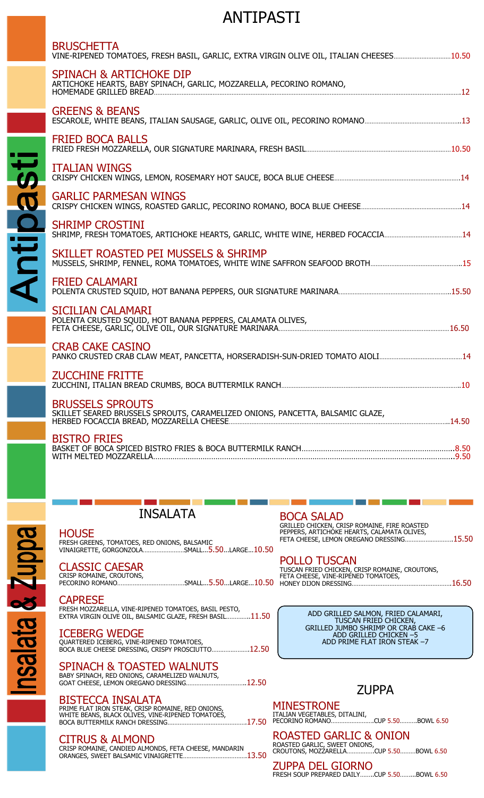# ANTIPASTI

| <b>BRUSCHETTA</b><br>VINE-RIPENED TOMATOES, FRESH BASIL, GARLIC, EXTRA VIRGIN OLIVE OIL, ITALIAN CHEESES10.50 |  |
|---------------------------------------------------------------------------------------------------------------|--|
| <b>SPINACH &amp; ARTICHOKE DIP</b><br>ARTICHOKE HEARTS, BABY SPINACH, GARLIC, MOZZARELLA, PECORINO ROMANO,    |  |
| <b>GREENS &amp; BEANS</b>                                                                                     |  |
| <b>FRIED BOCA BALLS</b>                                                                                       |  |
| <b>ITALIAN WINGS</b>                                                                                          |  |
| <b>GARLIC PARMESAN WINGS</b>                                                                                  |  |
| <b>SHRIMP CROSTINI</b>                                                                                        |  |
| SKILLET ROASTED PEI MUSSELS & SHRIMP                                                                          |  |
| <b>FRIED CALAMARI</b>                                                                                         |  |
| <b>SICILIAN CALAMARI</b><br>POLENTA CRUSTED SQUID, HOT BANANA PEPPERS, CALAMATA OLIVES,                       |  |
| <b>CRAB CAKE CASINO</b>                                                                                       |  |
| <b>ZUCCHINE FRITTE</b>                                                                                        |  |
| <b>BRUSSELS SPROUTS</b><br>SKILLET SEARED BRUSSELS SPROUTS, CARAMELIZED ONIONS, PANCETTA, BALSAMIC GLAZE,     |  |
| <b>BISTRO FRIES</b>                                                                                           |  |
|                                                                                                               |  |

INSALATA

## **HOUSE**

FRESH GREENS, TOMATOES, RED ONIONS, BALSAMIC<br>VINAIGRETTE, GORGONZOLA……………………SMALL...<mark>5.50</mark>…LARGE...10.50

# CLASSIC CAESAR

CRISP ROMAINE, CROUTONS, PECORINO ROMANO…………………………………SMALL...5.50...LARGE...10.50

#### CAPRESE

FRESH MOZZARELLA, VINE-RIPENED TOMATOES, BASIL PESTO, EXTRA VIRGIN OLIVE OIL, BALSAMIC GLAZE, FRESH BASIL…………..11.50

## ICEBERG WEDGE

QUARTERED ICEBERG, VINE-RIPENED TOMATOES,<br>BOCA BLUE CHEESE DRESSING, CRISPY PROSCIUTTO…………………12.50

# SPINACH & TOASTED WALNUTS

BABY SPINACH, RED ONIONS, CARAMELIZED WALNUTS, GOAT CHEESE, LEMON OREGANO DRESSING……………………………..12.50

# BISTECCA INSALATA

PRIME FLAT IRON STEAK, CRISP ROMAINE, RED ONIONS, WHITE BEANS, BLACK OLIVES, VINE-RIPENED TOMATOES,<br>BOCA BUTTERMILK RANCH DRESSING………………………………………17.50

# CITRUS & ALMOND

CRISP ROMAINE, CANDIED ALMONDS, FETA CHEESE, MANDARIN ORANGES, SWEET BALSAMIC VINAIGRETTE……………………………….13.50

#### BOCA SALAD

GRILLED CHICKEN, CRISP ROMAINE, FIRE ROASTED PEPPERS, ARTICHOKE HEARTS, CALAMATA OLIVES, FETA CHEESE, LEMON OREGANO DRESSING……………………….15.50

#### POLLO TUSCAN TUSCAN FRIED CHICKEN, CRISP ROMAINE, CROUTONS, FETA CHEESE, VINE-RIPENED TOMATOES, HONEY DIJON DRESSING………………………………………………….16.50

ADD GRILLED SALMON, FRIED CALAMARI, TUSCAN FRIED CHICKEN, GRILLED JUMBO SHRIMP OR CRAB CAKE –6 ADD GRILLED CHICKEN –5 ADD PRIME FLAT IRON STEAK –7

# ZUPPA

MINESTRONE ITALIAN VEGETABLES, DITALINI, PECORINO ROMANO…………………….CUP 5.50……….BOWL 6.50

ROASTED GARLIC & ONION ROASTED GARLIC, SWEET ONIONS, CROUTONS, MOZZARELLA…………….CUP 5.50………BOWL 6.50

ZUPPA DEL GIORNO FRESH SOUP PREPARED DAILY........CUP 5.50.........BOWL 6.50



# Antipasti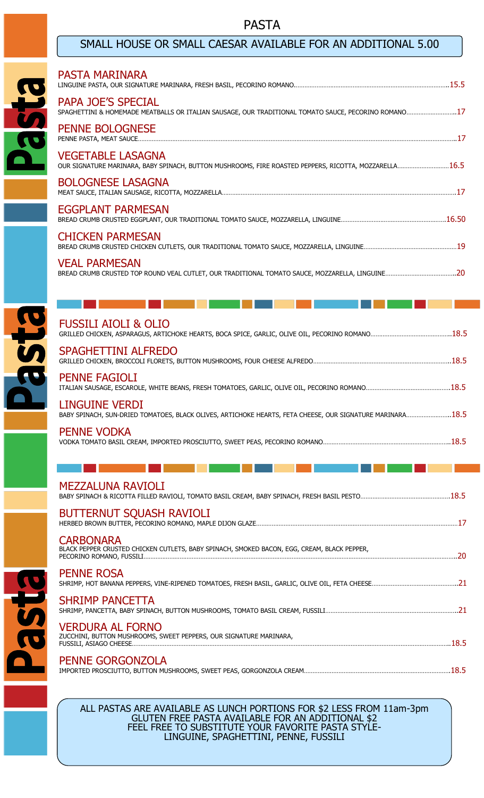# PASTA

# SMALL HOUSE OR SMALL CAESAR AVAILABLE FOR AN ADDITIONAL 5.00

|                         | <b>PASTA MARINARA</b>                                                                                                              |    |
|-------------------------|------------------------------------------------------------------------------------------------------------------------------------|----|
| <b>BJSC</b>             | <b>PAPA JOE'S SPECIAL</b><br>SPAGHETTINI & HOMEMADE MEATBALLS OR ITALIAN SAUSAGE, OUR TRADITIONAL TOMATO SAUCE, PECORINO ROMANO17  |    |
|                         | <b>PENNE BOLOGNESE</b>                                                                                                             |    |
|                         | <b>VEGETABLE LASAGNA</b><br>OUR SIGNATURE MARINARA, BABY SPINACH, BUTTON MUSHROOMS, FIRE ROASTED PEPPERS, RICOTTA, MOZZARELLA 16.5 |    |
|                         | <b>BOLOGNESE LASAGNA</b>                                                                                                           |    |
|                         | EGGPLANT PARMESAN                                                                                                                  |    |
|                         | <b>CHICKEN PARMESAN</b>                                                                                                            |    |
|                         | <b>VEAL PARMESAN</b>                                                                                                               |    |
|                         |                                                                                                                                    |    |
| B                       | <b>FUSSILI AIOLI &amp; OLIO</b>                                                                                                    |    |
| $\overline{\mathbf{S}}$ | <b>SPAGHETTINI ALFREDO</b>                                                                                                         |    |
|                         | <b>PENNE FAGIOLI</b>                                                                                                               |    |
|                         | <b>LINGUINE VERDI</b><br>BABY SPINACH, SUN-DRIED TOMATOES, BLACK OLIVES, ARTICHOKE HEARTS, FETA CHEESE, OUR SIGNATURE MARINARA18.5 |    |
|                         | <b>PENNE VODKA</b>                                                                                                                 |    |
|                         |                                                                                                                                    |    |
|                         | <b>MEZZALUNA RAVIOLI</b>                                                                                                           |    |
|                         | <b>BUTTERNUT SQUASH RAVIOLI</b>                                                                                                    |    |
|                         | <b>CARBONARA</b><br>BLACK PEPPER CRUSTED CHICKEN CUTLETS, BABY SPINACH, SMOKED BACON, EGG, CREAM, BLACK PEPPER,                    | 20 |
|                         |                                                                                                                                    |    |

PENNE ROSA



PENNE GORGONZOLA IMPORTED PROSCIUTTO, BUTTON MUSHROOMS, SWEET PEAS, GORGONZOLA CREAM………………………………………………………………………….18.5

ALL PASTAS ARE AVAILABLE AS LUNCH PORTIONS FOR \$2 LESS FROM 11am-3pm GLUTEN FREE PASTA AVAILABLE FOR AN ADDITIONAL \$2 FEEL FREE TO SUBSTITUTE YOUR FAVORITE PASTA STYLE-LINGUINE, SPAGHETTINI, PENNE, FUSSILI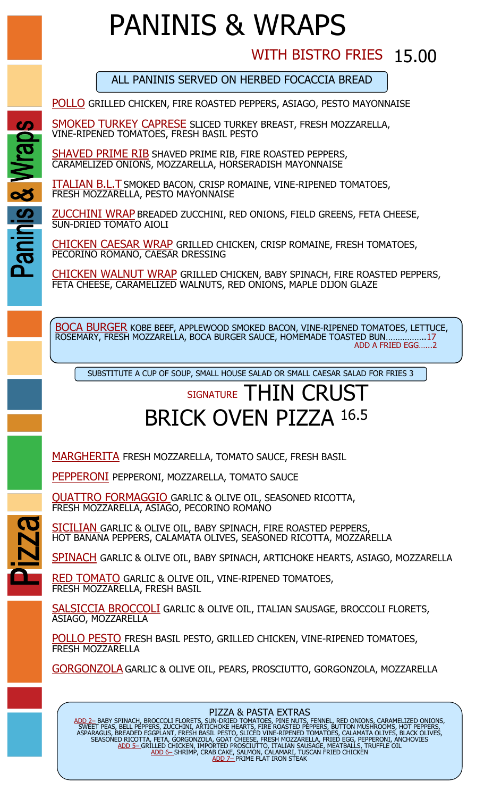# PANINIS & WRAPS

# WITH BISTRO FRIES 15.00

ALL PANINIS SERVED ON HERBED FOCACCIA BREAD

POLLO GRILLED CHICKEN, FIRE ROASTED PEPPERS, ASIAGO, PESTO MAYONNAISE

SMOKED TURKEY CAPRESE SLICED TURKEY BREAST, FRESH MOZZARELLA, VINE-RIPENED TOMATOES, FRESH BASIL PESTO

SHAVED PRIME RIB SHAVED PRIME RIB, FIRE ROASTED PEPPERS, CARAMELIZED ONIONS, MOZZARELLA, HORSERADISH MAYONNAISE

ITALIAN B.L.T SMOKED BACON, CRISP ROMAINE, VINE-RIPENED TOMATOES, FRESH MOZZARELLA, PESTO MAYONNAISE

ZUCCHINI WRAP BREADED ZUCCHINI, RED ONIONS, FIELD GREENS, FETA CHEESE, SUN-DRIED TOMATO AIOLI

CHICKEN CAESAR WRAP GRILLED CHICKEN, CRISP ROMAINE, FRESH TOMATOES, PECORINO ROMANO, CAESAR DRESSING

CHICKEN WALNUT WRAP GRILLED CHICKEN, BABY SPINACH, FIRE ROASTED PEPPERS, FETA CHEESE, CARAMELIZED WALNUTS, RED ONIONS, MAPLE DIJON GLAZE

**BOCA BURGER** KOBE BEEF, APPLEWOOD SMOKED BACON, VINE-RIPENED TOMATOES, LETTUCE, ROSEMARY, FRESH MOZZARELLA, BOCA BURGER SAUCE, HOMEMADE TOASTED BUN... ADD A FRIED EGG…...2

SUBSTITUTE A CUP OF SOUP, SMALL HOUSE SALAD OR SMALL CAESAR SALAD FOR FRIES 3

# SIGNATURE THIN CRUST BRICK OVEN PIZZA 16.5

MARGHERITA FRESH MOZZARELLA, TOMATO SAUCE, FRESH BASIL

PEPPERONI PEPPERONI, MOZZARELLA, TOMATO SAUCE

QUATTRO FORMAGGIO GARLIC & OLIVE OIL, SEASONED RICOTTA, FRESH MOZZARELLA, ASIAGO, PECORINO ROMANO

SICILIAN GARLIC & OLIVE OIL, BABY SPINACH, FIRE ROASTED PEPPERS, HOT BANANA PEPPERS, CALAMATA OLIVES, SEASONED RICOTTA, MOZZARELLA

SPINACH GARLIC & OLIVE OIL, BABY SPINACH, ARTICHOKE HEARTS, ASIAGO, MOZZARELLA

RED TOMATO GARLIC & OLIVE OIL, VINE-RIPENED TOMATOES, FRESH MOZZARELLA, FRESH BASIL

SALSICCIA BROCCOLI GARLIC & OLIVE OIL, ITALIAN SAUSAGE, BROCCOLI FLORETS, ASIAGO, MOZZARELLA

POLLO PESTO FRESH BASIL PESTO, GRILLED CHICKEN, VINE-RIPENED TOMATOES, FRESH MOZZARELLA

GORGONZOLA GARLIC & OLIVE OIL, PEARS, PROSCIUTTO, GORGONZOLA, MOZZARELLA

## PIZZA & PASTA EXTRAS

ADD 2– BABY SPINACH, BROCCOLI FLORETS, SUN-DRIED TOMATOES, PINE NUTS, FENNEL, RED ONIONS, CARAMELIZED ONIONS, SWEET PEAS, BELL PEPPERS, ZUCCHINI, ARTICHOKE HEARTS, FIRE ROASTED PEPPERS, BUTTON MUSHROOMS, HOT PEPPERS, ASPARAGUS, BREADED EGGPLANT, FRESH BASIL PESTO, SLICED VINE-RIPENED TOMATOES, CALAMATA OLIVES, BLACK OLIVES, SEASONED RICOTTA, FETA, GORGONZOLA, GOAT CHEESE, FRESH MOZZARELLA, FRIED EGG, PEPPERONI, ANCHOVIES<br><u>ADD 5– GRILLED CHICKEN, IMPORTED PROSCIUTTO, ITALIAN SAUSAGE, MEATBALLS, TRUFFLE OIL</u> ADD 6– SHRIMP, CRAB CAKE, SALMON, CALAMARI, TUSCAN FRIED CHICKEN <u>ADD 7- PRIME FLAT IRON STEAK</u>